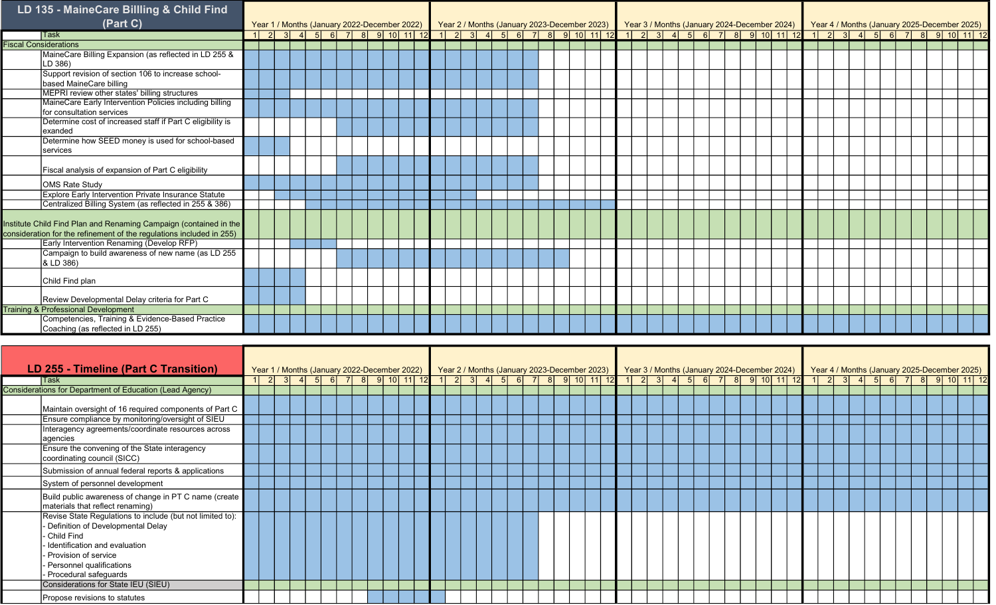| LD 135 - MaineCare Billling & Child Find                                                                                                  |  |  |  |                                                                                                                                                                                                                                   |  |  |  |  |  |  |  |  |  |  |  |  |  |  |
|-------------------------------------------------------------------------------------------------------------------------------------------|--|--|--|-----------------------------------------------------------------------------------------------------------------------------------------------------------------------------------------------------------------------------------|--|--|--|--|--|--|--|--|--|--|--|--|--|--|
| (Part C)                                                                                                                                  |  |  |  | 1  2  3  4  5  6  7  8  9  10  11  12  1  2  3  4  5  6  7  8  9  10  11  12  1  2  3  4  5  6  7  8  9  10  11  12<br>  2  3  4  5  6  7  8  9  10  11  12  1  2  3  4  5  6  7  8  9  10  11  12  1  2  3  4  5  6  7  8  9  10 |  |  |  |  |  |  |  |  |  |  |  |  |  |  |
| <b>Task</b>                                                                                                                               |  |  |  |                                                                                                                                                                                                                                   |  |  |  |  |  |  |  |  |  |  |  |  |  |  |
| <b>Fiscal Considerations</b>                                                                                                              |  |  |  |                                                                                                                                                                                                                                   |  |  |  |  |  |  |  |  |  |  |  |  |  |  |
| MaineCare Billing Expansion (as reflected in LD 255 &<br>LD 386)                                                                          |  |  |  |                                                                                                                                                                                                                                   |  |  |  |  |  |  |  |  |  |  |  |  |  |  |
| Support revision of section 106 to increase school-<br>based MaineCare billing                                                            |  |  |  |                                                                                                                                                                                                                                   |  |  |  |  |  |  |  |  |  |  |  |  |  |  |
| MEPRI review other states' billing structures                                                                                             |  |  |  |                                                                                                                                                                                                                                   |  |  |  |  |  |  |  |  |  |  |  |  |  |  |
| MaineCare Early Intervention Policies including billing<br>for consultation services                                                      |  |  |  |                                                                                                                                                                                                                                   |  |  |  |  |  |  |  |  |  |  |  |  |  |  |
| Determine cost of increased staff if Part C eligibility is<br>exanded                                                                     |  |  |  |                                                                                                                                                                                                                                   |  |  |  |  |  |  |  |  |  |  |  |  |  |  |
| Determine how SEED money is used for school-based<br>services                                                                             |  |  |  |                                                                                                                                                                                                                                   |  |  |  |  |  |  |  |  |  |  |  |  |  |  |
| Fiscal analysis of expansion of Part C eligibility                                                                                        |  |  |  |                                                                                                                                                                                                                                   |  |  |  |  |  |  |  |  |  |  |  |  |  |  |
| <b>OMS Rate Study</b>                                                                                                                     |  |  |  |                                                                                                                                                                                                                                   |  |  |  |  |  |  |  |  |  |  |  |  |  |  |
| Explore Early Intervention Private Insurance Statute                                                                                      |  |  |  |                                                                                                                                                                                                                                   |  |  |  |  |  |  |  |  |  |  |  |  |  |  |
| Centralized Billing System (as reflected in 255 & 386)                                                                                    |  |  |  |                                                                                                                                                                                                                                   |  |  |  |  |  |  |  |  |  |  |  |  |  |  |
| Institute Child Find Plan and Renaming Campaign (contained in the<br>consideration for the refinement of the regulations included in 255) |  |  |  |                                                                                                                                                                                                                                   |  |  |  |  |  |  |  |  |  |  |  |  |  |  |
| Early Intervention Renaming (Develop RFP)                                                                                                 |  |  |  |                                                                                                                                                                                                                                   |  |  |  |  |  |  |  |  |  |  |  |  |  |  |
| Campaign to build awareness of new name (as LD 255<br>& LD 386)                                                                           |  |  |  |                                                                                                                                                                                                                                   |  |  |  |  |  |  |  |  |  |  |  |  |  |  |
| Child Find plan                                                                                                                           |  |  |  |                                                                                                                                                                                                                                   |  |  |  |  |  |  |  |  |  |  |  |  |  |  |
| Review Developmental Delay criteria for Part C                                                                                            |  |  |  |                                                                                                                                                                                                                                   |  |  |  |  |  |  |  |  |  |  |  |  |  |  |
| <b>Training &amp; Professional Development</b>                                                                                            |  |  |  |                                                                                                                                                                                                                                   |  |  |  |  |  |  |  |  |  |  |  |  |  |  |
| Competencies, Training & Evidence-Based Practice<br>Coaching (as reflected in LD 255)                                                     |  |  |  |                                                                                                                                                                                                                                   |  |  |  |  |  |  |  |  |  |  |  |  |  |  |

| LD 255 - Timeline (Part C Transition)                                                                        |   |  |  |  | Year 1 / Months (January 2022-December 2022) |  |  |  |  | Year 2 / Months (January 2023-December 2023) Year 3 / Months (January 2024-December 2024) Year 4 / Months (January 2025-December 2025) |  |                             |  |  |  |                                         |  |  |  |  |  |
|--------------------------------------------------------------------------------------------------------------|---|--|--|--|----------------------------------------------|--|--|--|--|----------------------------------------------------------------------------------------------------------------------------------------|--|-----------------------------|--|--|--|-----------------------------------------|--|--|--|--|--|
| Task                                                                                                         | 2 |  |  |  |                                              |  |  |  |  | 3 4 5 6 7 8 9 10 11 12 1 2 3 4 5 6 7 8 9 10 11 12                                                                                      |  | $1 \ 2 \ 3 \ 4 \ 5 \ 6 \ 7$ |  |  |  | 8 9 10 11 12 1 2 3 4 5 6 7 8 9 10 11 12 |  |  |  |  |  |
| Considerations for Department of Education (Lead Agency)                                                     |   |  |  |  |                                              |  |  |  |  |                                                                                                                                        |  |                             |  |  |  |                                         |  |  |  |  |  |
| Maintain oversight of 16 required components of Part C                                                       |   |  |  |  |                                              |  |  |  |  |                                                                                                                                        |  |                             |  |  |  |                                         |  |  |  |  |  |
| Ensure compliance by monitoring/oversight of SIEU                                                            |   |  |  |  |                                              |  |  |  |  |                                                                                                                                        |  |                             |  |  |  |                                         |  |  |  |  |  |
| Interagency agreements/coordinate resources across<br>agencies                                               |   |  |  |  |                                              |  |  |  |  |                                                                                                                                        |  |                             |  |  |  |                                         |  |  |  |  |  |
| Ensure the convening of the State interagency<br>coordinating council (SICC)                                 |   |  |  |  |                                              |  |  |  |  |                                                                                                                                        |  |                             |  |  |  |                                         |  |  |  |  |  |
| Submission of annual federal reports & applications                                                          |   |  |  |  |                                              |  |  |  |  |                                                                                                                                        |  |                             |  |  |  |                                         |  |  |  |  |  |
| System of personnel development                                                                              |   |  |  |  |                                              |  |  |  |  |                                                                                                                                        |  |                             |  |  |  |                                         |  |  |  |  |  |
| Build public awareness of change in PT C name (create<br>materials that reflect renaming)                    |   |  |  |  |                                              |  |  |  |  |                                                                                                                                        |  |                             |  |  |  |                                         |  |  |  |  |  |
| Revise State Regulations to include (but not limited to):<br>Definition of Developmental Delay<br>Child Find |   |  |  |  |                                              |  |  |  |  |                                                                                                                                        |  |                             |  |  |  |                                         |  |  |  |  |  |
| Identification and evaluation<br>- Provision of service                                                      |   |  |  |  |                                              |  |  |  |  |                                                                                                                                        |  |                             |  |  |  |                                         |  |  |  |  |  |
| Personnel qualifications                                                                                     |   |  |  |  |                                              |  |  |  |  |                                                                                                                                        |  |                             |  |  |  |                                         |  |  |  |  |  |
| Procedural safeguards                                                                                        |   |  |  |  |                                              |  |  |  |  |                                                                                                                                        |  |                             |  |  |  |                                         |  |  |  |  |  |
| Considerations for State IEU (SIEU)                                                                          |   |  |  |  |                                              |  |  |  |  |                                                                                                                                        |  |                             |  |  |  |                                         |  |  |  |  |  |
| Propose revisions to statutes                                                                                |   |  |  |  |                                              |  |  |  |  |                                                                                                                                        |  |                             |  |  |  |                                         |  |  |  |  |  |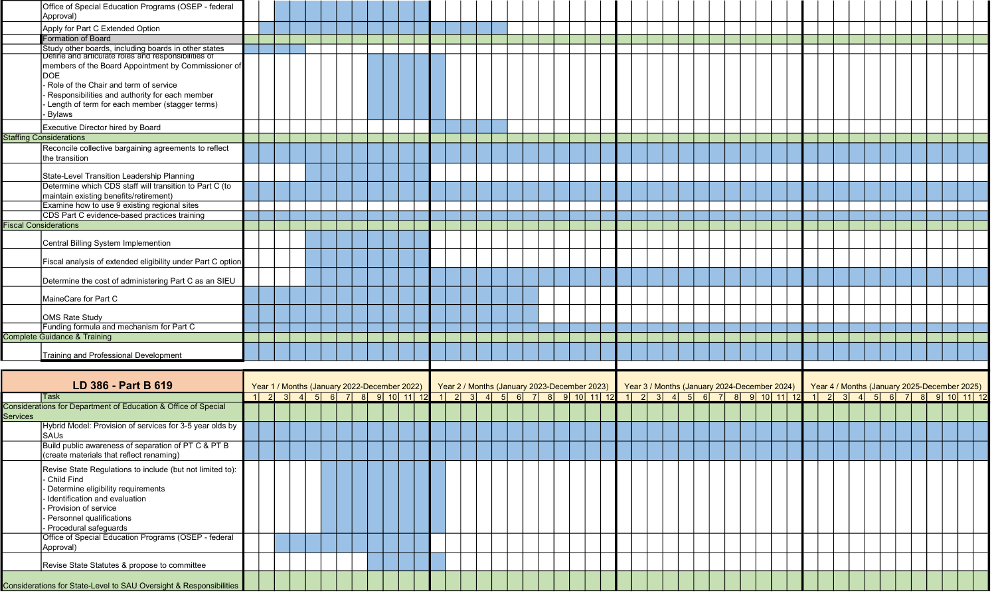| Approval)<br>Apply for Part C Extended Option<br>Formation of Board<br>Study other boards, including boards in other states<br>Define and articulate roles and responsibilities of<br>members of the Board Appointment by Commissioner of<br><b>DOE</b><br>Role of the Chair and term of service<br>Responsibilities and authority for each member |  |  |  |  |
|----------------------------------------------------------------------------------------------------------------------------------------------------------------------------------------------------------------------------------------------------------------------------------------------------------------------------------------------------|--|--|--|--|
|                                                                                                                                                                                                                                                                                                                                                    |  |  |  |  |
|                                                                                                                                                                                                                                                                                                                                                    |  |  |  |  |
|                                                                                                                                                                                                                                                                                                                                                    |  |  |  |  |
|                                                                                                                                                                                                                                                                                                                                                    |  |  |  |  |
|                                                                                                                                                                                                                                                                                                                                                    |  |  |  |  |
|                                                                                                                                                                                                                                                                                                                                                    |  |  |  |  |
|                                                                                                                                                                                                                                                                                                                                                    |  |  |  |  |
|                                                                                                                                                                                                                                                                                                                                                    |  |  |  |  |
| Length of term for each member (stagger terms)                                                                                                                                                                                                                                                                                                     |  |  |  |  |
| - Bylaws                                                                                                                                                                                                                                                                                                                                           |  |  |  |  |
| Executive Director hired by Board                                                                                                                                                                                                                                                                                                                  |  |  |  |  |
| <b>Staffing Considerations</b>                                                                                                                                                                                                                                                                                                                     |  |  |  |  |
| Reconcile collective bargaining agreements to reflect                                                                                                                                                                                                                                                                                              |  |  |  |  |
| the transition                                                                                                                                                                                                                                                                                                                                     |  |  |  |  |
| State-Level Transition Leadership Planning                                                                                                                                                                                                                                                                                                         |  |  |  |  |
| Determine which CDS staff will transition to Part C (to                                                                                                                                                                                                                                                                                            |  |  |  |  |
| maintain existing benefits/retirement)                                                                                                                                                                                                                                                                                                             |  |  |  |  |
| Examine how to use 9 existing regional sites                                                                                                                                                                                                                                                                                                       |  |  |  |  |
| CDS Part C evidence-based practices training                                                                                                                                                                                                                                                                                                       |  |  |  |  |
| <b>Fiscal Considerations</b>                                                                                                                                                                                                                                                                                                                       |  |  |  |  |
|                                                                                                                                                                                                                                                                                                                                                    |  |  |  |  |
| Central Billing System Implemention                                                                                                                                                                                                                                                                                                                |  |  |  |  |
|                                                                                                                                                                                                                                                                                                                                                    |  |  |  |  |
| Fiscal analysis of extended eligibility under Part C option                                                                                                                                                                                                                                                                                        |  |  |  |  |
| Determine the cost of administering Part C as an SIEU                                                                                                                                                                                                                                                                                              |  |  |  |  |
|                                                                                                                                                                                                                                                                                                                                                    |  |  |  |  |
| MaineCare for Part C                                                                                                                                                                                                                                                                                                                               |  |  |  |  |
|                                                                                                                                                                                                                                                                                                                                                    |  |  |  |  |
|                                                                                                                                                                                                                                                                                                                                                    |  |  |  |  |
| <b>OMS Rate Study</b>                                                                                                                                                                                                                                                                                                                              |  |  |  |  |
| Funding formula and mechanism for Part C                                                                                                                                                                                                                                                                                                           |  |  |  |  |
| <b>Complete Guidance &amp; Training</b>                                                                                                                                                                                                                                                                                                            |  |  |  |  |
|                                                                                                                                                                                                                                                                                                                                                    |  |  |  |  |
| Training and Professional Development                                                                                                                                                                                                                                                                                                              |  |  |  |  |
|                                                                                                                                                                                                                                                                                                                                                    |  |  |  |  |
| LD 386 - Part B 619                                                                                                                                                                                                                                                                                                                                |  |  |  |  |
| Year 1 / Months (January 2022-December 2022) Year 2 / Months (January 2023-December 2023) Year 3 / Months (January 2024-December 2024) Year 4 / Months (January 2025-December 2025)<br>1 2 3 4 5 6 7 8 9 10 11 12 1 2 3 4 5 6 7 8 9 10 11 12 1 2 3 4 2 4 2 4 2 5 6 7 8 9 10 11 12<br>$1 \ 2 \ 3 \ 4 \ 5 \ 6 \ 7 \ 8 \ 9 \ 10 \ 11 \ 12$<br>Task    |  |  |  |  |
|                                                                                                                                                                                                                                                                                                                                                    |  |  |  |  |
| Hybrid Model: Provision of services for 3-5 year olds by                                                                                                                                                                                                                                                                                           |  |  |  |  |
| <b>SAUs</b>                                                                                                                                                                                                                                                                                                                                        |  |  |  |  |
| Build public awareness of separation of PT C & PT B                                                                                                                                                                                                                                                                                                |  |  |  |  |
| (create materials that reflect renaming)                                                                                                                                                                                                                                                                                                           |  |  |  |  |
| Revise State Regulations to include (but not limited to):                                                                                                                                                                                                                                                                                          |  |  |  |  |
| Child Find                                                                                                                                                                                                                                                                                                                                         |  |  |  |  |
| Determine eligibility requirements                                                                                                                                                                                                                                                                                                                 |  |  |  |  |
| Identification and evaluation                                                                                                                                                                                                                                                                                                                      |  |  |  |  |
| Provision of service                                                                                                                                                                                                                                                                                                                               |  |  |  |  |
| Considerations for Department of Education & Office of Special<br><b>Services</b><br>Personnel qualifications                                                                                                                                                                                                                                      |  |  |  |  |
| - Procedural safeguards                                                                                                                                                                                                                                                                                                                            |  |  |  |  |
| Office of Special Education Programs (OSEP - federal                                                                                                                                                                                                                                                                                               |  |  |  |  |
| Approval)                                                                                                                                                                                                                                                                                                                                          |  |  |  |  |
|                                                                                                                                                                                                                                                                                                                                                    |  |  |  |  |
| Revise State Statutes & propose to committee                                                                                                                                                                                                                                                                                                       |  |  |  |  |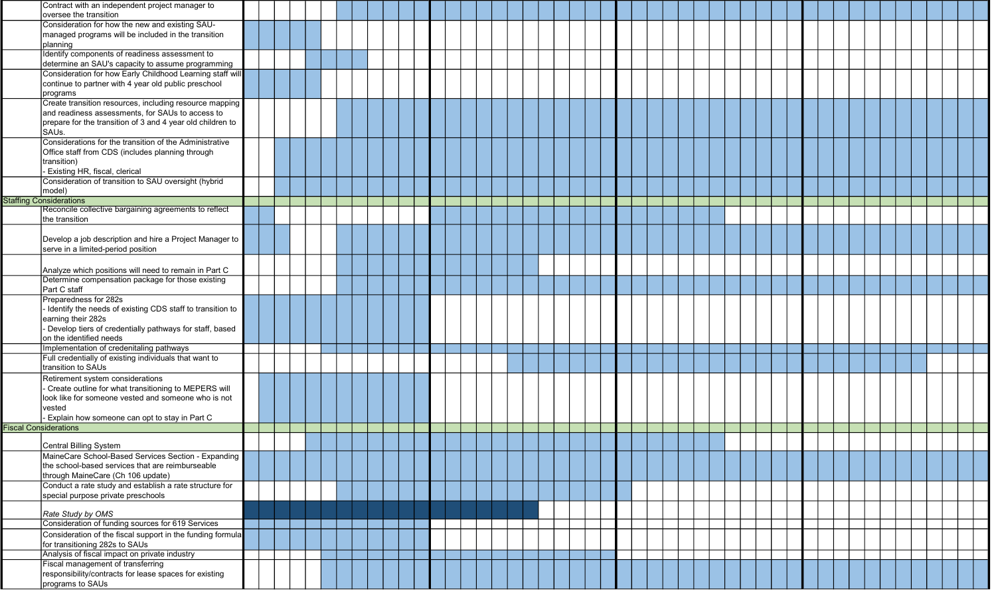|                              | Contract with an independent project manager to                                                             |  |  |  |  |  |  |  |  |  |  |  |  |  |  |  |  |  |
|------------------------------|-------------------------------------------------------------------------------------------------------------|--|--|--|--|--|--|--|--|--|--|--|--|--|--|--|--|--|
|                              | oversee the transition                                                                                      |  |  |  |  |  |  |  |  |  |  |  |  |  |  |  |  |  |
|                              | Consideration for how the new and existing SAU-<br>managed programs will be included in the transition      |  |  |  |  |  |  |  |  |  |  |  |  |  |  |  |  |  |
|                              | planning                                                                                                    |  |  |  |  |  |  |  |  |  |  |  |  |  |  |  |  |  |
|                              | Identify components of readiness assessment to                                                              |  |  |  |  |  |  |  |  |  |  |  |  |  |  |  |  |  |
|                              | determine an SAU's capacity to assume programming                                                           |  |  |  |  |  |  |  |  |  |  |  |  |  |  |  |  |  |
|                              | Consideration for how Early Childhood Learning staff will                                                   |  |  |  |  |  |  |  |  |  |  |  |  |  |  |  |  |  |
|                              | continue to partner with 4 year old public preschool                                                        |  |  |  |  |  |  |  |  |  |  |  |  |  |  |  |  |  |
|                              | programs                                                                                                    |  |  |  |  |  |  |  |  |  |  |  |  |  |  |  |  |  |
|                              | Create transition resources, including resource mapping<br>and readiness assessments, for SAUs to access to |  |  |  |  |  |  |  |  |  |  |  |  |  |  |  |  |  |
|                              | prepare for the transition of 3 and 4 year old children to                                                  |  |  |  |  |  |  |  |  |  |  |  |  |  |  |  |  |  |
|                              | SAUs.                                                                                                       |  |  |  |  |  |  |  |  |  |  |  |  |  |  |  |  |  |
|                              | Considerations for the transition of the Administrative                                                     |  |  |  |  |  |  |  |  |  |  |  |  |  |  |  |  |  |
|                              | Office staff from CDS (includes planning through                                                            |  |  |  |  |  |  |  |  |  |  |  |  |  |  |  |  |  |
|                              | transition)<br>- Existing HR, fiscal, clerical                                                              |  |  |  |  |  |  |  |  |  |  |  |  |  |  |  |  |  |
|                              | Consideration of transition to SAU oversight (hybrid                                                        |  |  |  |  |  |  |  |  |  |  |  |  |  |  |  |  |  |
|                              | model)                                                                                                      |  |  |  |  |  |  |  |  |  |  |  |  |  |  |  |  |  |
|                              | <b>Staffing Considerations</b>                                                                              |  |  |  |  |  |  |  |  |  |  |  |  |  |  |  |  |  |
|                              | Reconcile collective bargaining agreements to reflect                                                       |  |  |  |  |  |  |  |  |  |  |  |  |  |  |  |  |  |
|                              | the transition                                                                                              |  |  |  |  |  |  |  |  |  |  |  |  |  |  |  |  |  |
|                              | Develop a job description and hire a Project Manager to                                                     |  |  |  |  |  |  |  |  |  |  |  |  |  |  |  |  |  |
|                              | serve in a limited-period position                                                                          |  |  |  |  |  |  |  |  |  |  |  |  |  |  |  |  |  |
|                              |                                                                                                             |  |  |  |  |  |  |  |  |  |  |  |  |  |  |  |  |  |
|                              | Analyze which positions will need to remain in Part C                                                       |  |  |  |  |  |  |  |  |  |  |  |  |  |  |  |  |  |
|                              | Determine compensation package for those existing                                                           |  |  |  |  |  |  |  |  |  |  |  |  |  |  |  |  |  |
|                              | Part C staff<br>Preparedness for 282s                                                                       |  |  |  |  |  |  |  |  |  |  |  |  |  |  |  |  |  |
|                              | - Identify the needs of existing CDS staff to transition to                                                 |  |  |  |  |  |  |  |  |  |  |  |  |  |  |  |  |  |
|                              | earning their 282s                                                                                          |  |  |  |  |  |  |  |  |  |  |  |  |  |  |  |  |  |
|                              | - Develop tiers of credentially pathways for staff, based                                                   |  |  |  |  |  |  |  |  |  |  |  |  |  |  |  |  |  |
|                              | on the identified needs                                                                                     |  |  |  |  |  |  |  |  |  |  |  |  |  |  |  |  |  |
|                              | Implementation of credenitaling pathways                                                                    |  |  |  |  |  |  |  |  |  |  |  |  |  |  |  |  |  |
|                              | Full credentially of existing individuals that want to<br>transition to SAUs                                |  |  |  |  |  |  |  |  |  |  |  |  |  |  |  |  |  |
|                              | Retirement system considerations                                                                            |  |  |  |  |  |  |  |  |  |  |  |  |  |  |  |  |  |
|                              | - Create outline for what transitioning to MEPERS will                                                      |  |  |  |  |  |  |  |  |  |  |  |  |  |  |  |  |  |
|                              | look like for someone vested and someone who is not                                                         |  |  |  |  |  |  |  |  |  |  |  |  |  |  |  |  |  |
|                              | vested                                                                                                      |  |  |  |  |  |  |  |  |  |  |  |  |  |  |  |  |  |
|                              | - Explain how someone can opt to stay in Part C                                                             |  |  |  |  |  |  |  |  |  |  |  |  |  |  |  |  |  |
| <b>Fiscal Considerations</b> |                                                                                                             |  |  |  |  |  |  |  |  |  |  |  |  |  |  |  |  |  |
|                              | Central Billing System                                                                                      |  |  |  |  |  |  |  |  |  |  |  |  |  |  |  |  |  |
|                              | MaineCare School-Based Services Section - Expanding                                                         |  |  |  |  |  |  |  |  |  |  |  |  |  |  |  |  |  |
|                              | the school-based services that are reimburseable                                                            |  |  |  |  |  |  |  |  |  |  |  |  |  |  |  |  |  |
|                              | through MaineCare (Ch 106 update)                                                                           |  |  |  |  |  |  |  |  |  |  |  |  |  |  |  |  |  |
|                              | Conduct a rate study and establish a rate structure for                                                     |  |  |  |  |  |  |  |  |  |  |  |  |  |  |  |  |  |
|                              | special purpose private preschools                                                                          |  |  |  |  |  |  |  |  |  |  |  |  |  |  |  |  |  |
|                              | Rate Study by OMS                                                                                           |  |  |  |  |  |  |  |  |  |  |  |  |  |  |  |  |  |
|                              | Consideration of funding sources for 619 Services                                                           |  |  |  |  |  |  |  |  |  |  |  |  |  |  |  |  |  |
|                              | Consideration of the fiscal support in the funding formula                                                  |  |  |  |  |  |  |  |  |  |  |  |  |  |  |  |  |  |
|                              | for transitioning 282s to SAUs                                                                              |  |  |  |  |  |  |  |  |  |  |  |  |  |  |  |  |  |
|                              | Analysis of fiscal impact on private industry<br>Fiscal management of transferring                          |  |  |  |  |  |  |  |  |  |  |  |  |  |  |  |  |  |
|                              | responsibility/contracts for lease spaces for existing                                                      |  |  |  |  |  |  |  |  |  |  |  |  |  |  |  |  |  |
|                              | programs to SAUs                                                                                            |  |  |  |  |  |  |  |  |  |  |  |  |  |  |  |  |  |
|                              |                                                                                                             |  |  |  |  |  |  |  |  |  |  |  |  |  |  |  |  |  |